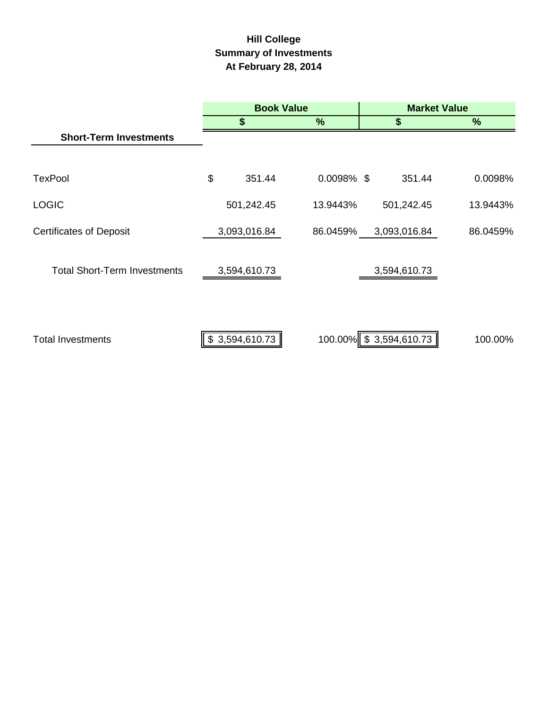# **Hill College Summary of Investments At February 28, 2014**

|                                     | <b>Book Value</b> |               | <b>Market Value</b>    |          |  |  |
|-------------------------------------|-------------------|---------------|------------------------|----------|--|--|
|                                     | \$                | $\%$          | \$                     | %        |  |  |
| <b>Short-Term Investments</b>       |                   |               |                        |          |  |  |
|                                     |                   |               |                        |          |  |  |
| <b>TexPool</b>                      | \$<br>351.44      | $0.0098\%$ \$ | 351.44                 | 0.0098%  |  |  |
| <b>LOGIC</b>                        | 501,242.45        | 13.9443%      | 501,242.45             | 13.9443% |  |  |
| <b>Certificates of Deposit</b>      | 3,093,016.84      | 86.0459%      | 3,093,016.84           | 86.0459% |  |  |
| <b>Total Short-Term Investments</b> | 3,594,610.73      |               | 3,594,610.73           |          |  |  |
| <b>Total Investments</b>            | \$3,594,610.73    |               | 100.00% \$3,594,610.73 | 100.00%  |  |  |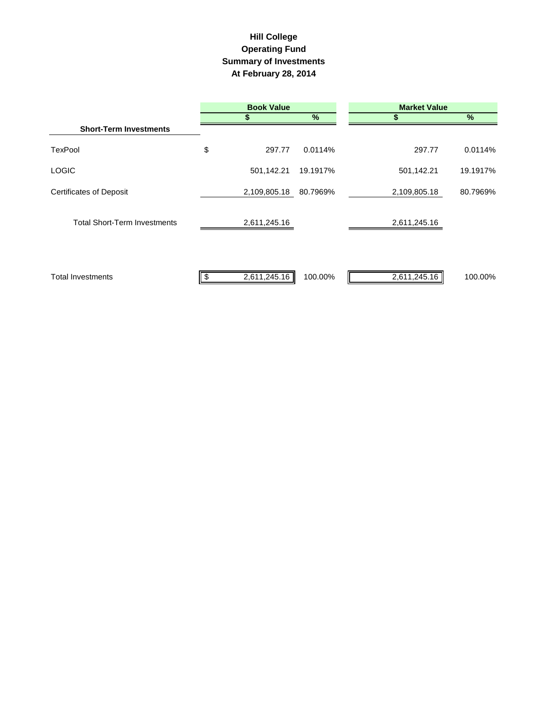## **Hill College Operating Fund Summary of Investments At February 28, 2014**

|                                     | <b>Book Value</b> |              |          | <b>Market Value</b> |                         |  |  |
|-------------------------------------|-------------------|--------------|----------|---------------------|-------------------------|--|--|
|                                     |                   |              | $\%$     |                     | $\%$                    |  |  |
| <b>Short-Term Investments</b>       |                   |              |          |                     |                         |  |  |
| <b>TexPool</b>                      | \$                | 297.77       | 0.0114%  |                     | 0.0114%<br>297.77       |  |  |
| <b>LOGIC</b>                        |                   | 501,142.21   | 19.1917% |                     | 501,142.21<br>19.1917%  |  |  |
| <b>Certificates of Deposit</b>      |                   | 2,109,805.18 | 80.7969% | 2,109,805.18        | 80.7969%                |  |  |
| <b>Total Short-Term Investments</b> |                   | 2,611,245.16 |          | 2,611,245.16        |                         |  |  |
| <b>Total Investments</b>            | \$                | 2,611,245.16 | 100.00%  |                     | 2,611,245.16<br>100.00% |  |  |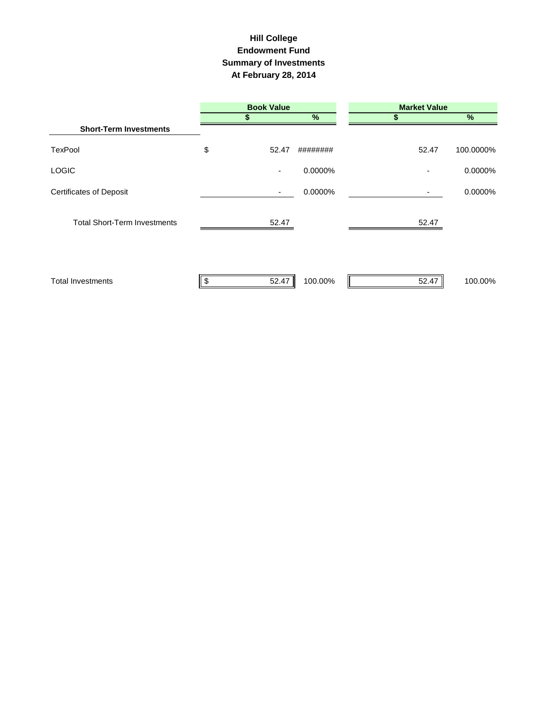## **Hill College Endowment Fund Summary of Investments At February 28, 2014**

|                                     | <b>Book Value</b> |                          | <b>Market Value</b> |       |           |
|-------------------------------------|-------------------|--------------------------|---------------------|-------|-----------|
|                                     |                   |                          | %                   |       | %         |
| <b>Short-Term Investments</b>       |                   |                          |                     |       |           |
| <b>TexPool</b>                      | \$                | 52.47                    | ########            | 52.47 | 100.0000% |
| <b>LOGIC</b>                        |                   | $\overline{\phantom{a}}$ | 0.0000%             |       | 0.0000%   |
| <b>Certificates of Deposit</b>      |                   | $\overline{\phantom{a}}$ | 0.0000%             | ٠     | 0.0000%   |
| <b>Total Short-Term Investments</b> |                   | 52.47                    |                     | 52.47 |           |
| <b>Total Investments</b>            |                   | 52.47                    | 100.00%             | 52.47 | 100.00%   |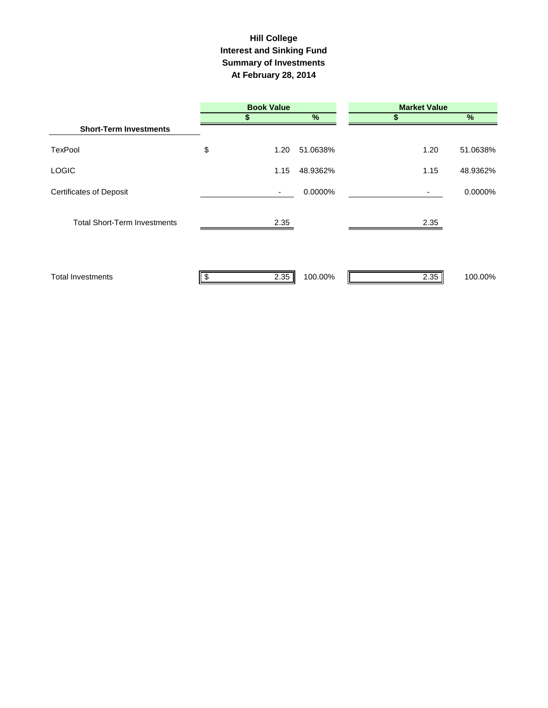## **Interest and Sinking Fund Summary of Investments At February 28, 2014 Hill College**

|                                     | <b>Book Value</b> |          | <b>Market Value</b> |          |  |  |
|-------------------------------------|-------------------|----------|---------------------|----------|--|--|
|                                     |                   | %        | S                   | $\%$     |  |  |
| <b>Short-Term Investments</b>       |                   |          |                     |          |  |  |
| <b>TexPool</b>                      | \$<br>1.20        | 51.0638% | 1.20                | 51.0638% |  |  |
| <b>LOGIC</b>                        | 1.15              | 48.9362% | 1.15                | 48.9362% |  |  |
| <b>Certificates of Deposit</b>      | ٠                 | 0.0000%  |                     | 0.0000%  |  |  |
| <b>Total Short-Term Investments</b> | 2.35              |          | 2.35                |          |  |  |
| <b>Total Investments</b>            | \$<br>2.35        | 100.00%  | 2.35                | 100.00%  |  |  |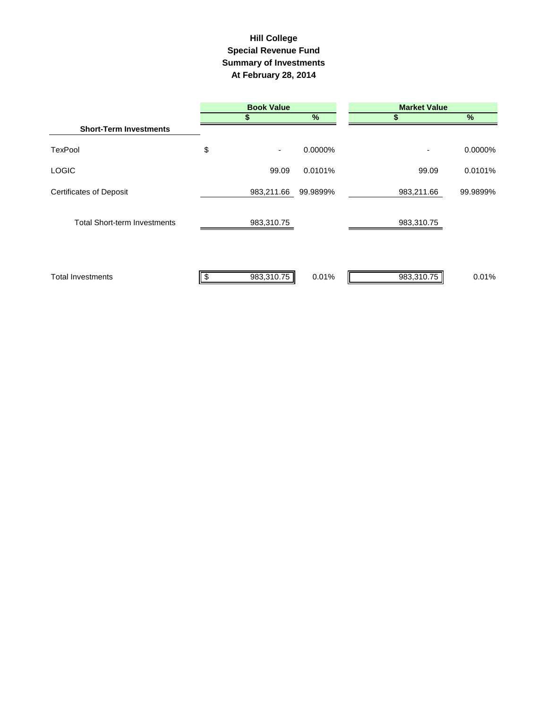## **Summary of Investments At February 28, 2014 Special Revenue Fund Hill College**

|                                     | <b>Book Value</b> |          | <b>Market Value</b> |          |  |  |
|-------------------------------------|-------------------|----------|---------------------|----------|--|--|
|                                     |                   | $\%$     |                     | %        |  |  |
| <b>Short-Term Investments</b>       |                   |          |                     |          |  |  |
| <b>TexPool</b>                      | \$<br>٠           | 0.0000%  | ٠                   | 0.0000%  |  |  |
| <b>LOGIC</b>                        | 99.09             | 0.0101%  | 99.09               | 0.0101%  |  |  |
| <b>Certificates of Deposit</b>      | 983,211.66        | 99.9899% | 983,211.66          | 99.9899% |  |  |
| <b>Total Short-term Investments</b> | 983,310.75        |          | 983,310.75          |          |  |  |
| <b>Total Investments</b>            | 983,310.75        | 0.01%    | 983,310.75          | 0.01%    |  |  |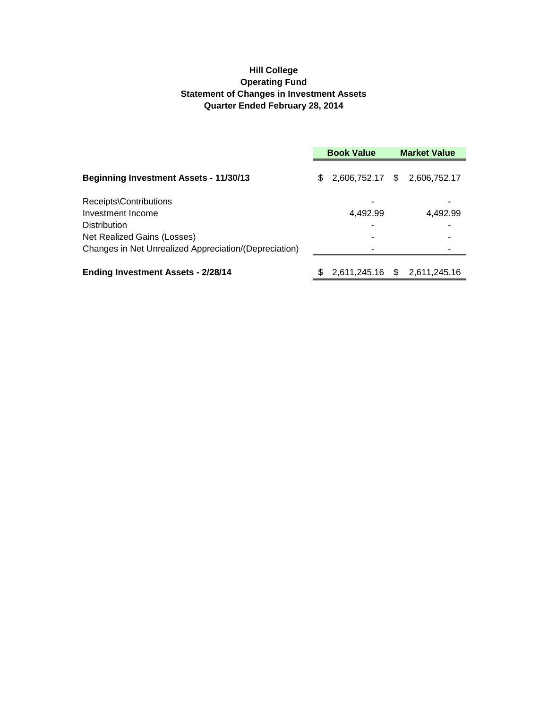### **Hill College Operating Fund Statement of Changes in Investment Assets Quarter Ended February 28, 2014**

|                                                       | <b>Book Value</b> |                              |  | <b>Market Value</b> |
|-------------------------------------------------------|-------------------|------------------------------|--|---------------------|
| <b>Beginning Investment Assets - 11/30/13</b>         | \$.               | 2,606,752.17 \$ 2,606,752.17 |  |                     |
| Receipts\Contributions                                |                   |                              |  |                     |
| Investment Income                                     |                   | 4,492.99                     |  | 4,492.99            |
| <b>Distribution</b>                                   |                   | -                            |  |                     |
| Net Realized Gains (Losses)                           |                   |                              |  |                     |
| Changes in Net Unrealized Appreciation/(Depreciation) |                   |                              |  |                     |
| <b>Ending Investment Assets - 2/28/14</b>             |                   | 2,611,245.16 \$              |  | 2,611,245.16        |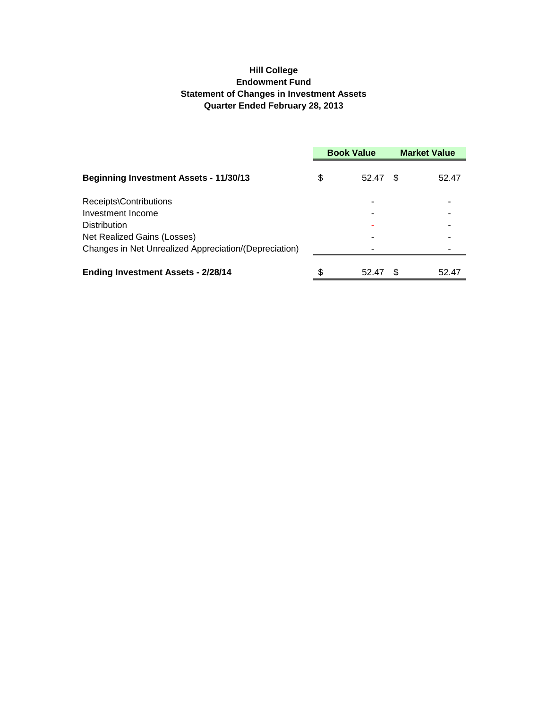### **Hill College Endowment Fund Statement of Changes in Investment Assets Quarter Ended February 28, 2013**

|                                                       | <b>Book Value</b> |       | <b>Market Value</b> |       |
|-------------------------------------------------------|-------------------|-------|---------------------|-------|
| <b>Beginning Investment Assets - 11/30/13</b>         | \$                | 52.47 | -S                  | 52.47 |
| Receipts\Contributions                                |                   | ۰     |                     |       |
| Investment Income                                     |                   |       |                     |       |
| <b>Distribution</b>                                   |                   |       |                     |       |
| Net Realized Gains (Losses)                           |                   |       |                     |       |
| Changes in Net Unrealized Appreciation/(Depreciation) |                   |       |                     |       |
| <b>Ending Investment Assets - 2/28/14</b>             |                   | 52.47 |                     | 52.47 |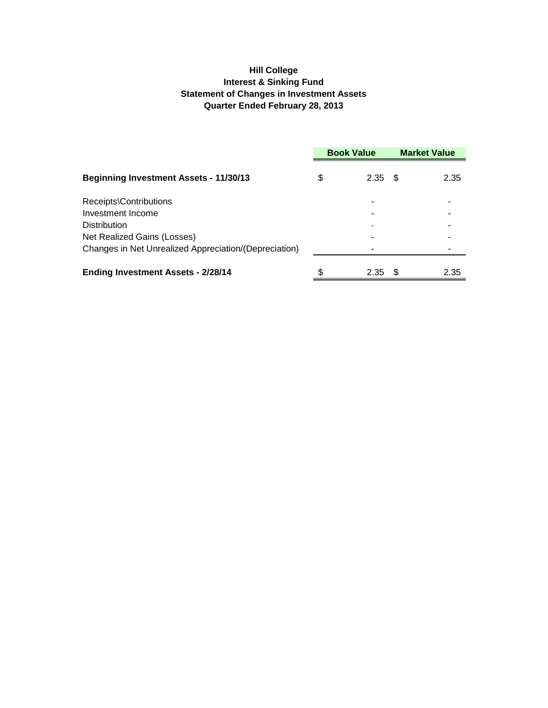### **Hill College Interest & Sinking Fund Statement of Changes in Investment Assets Quarter Ended February 28, 2013**

|                                                       | <b>Book Value</b> |           | <b>Market Value</b> |      |
|-------------------------------------------------------|-------------------|-----------|---------------------|------|
| <b>Beginning Investment Assets - 11/30/13</b>         | \$                | $2.35$ \$ |                     | 2.35 |
| Receipts\Contributions                                |                   | ۰         |                     |      |
| Investment Income                                     |                   | -         |                     |      |
| <b>Distribution</b>                                   |                   | ۰         |                     |      |
| Net Realized Gains (Losses)                           |                   | ۰         |                     |      |
| Changes in Net Unrealized Appreciation/(Depreciation) |                   |           |                     |      |
| <b>Ending Investment Assets - 2/28/14</b>             | S                 | 2.35      |                     | 2.35 |